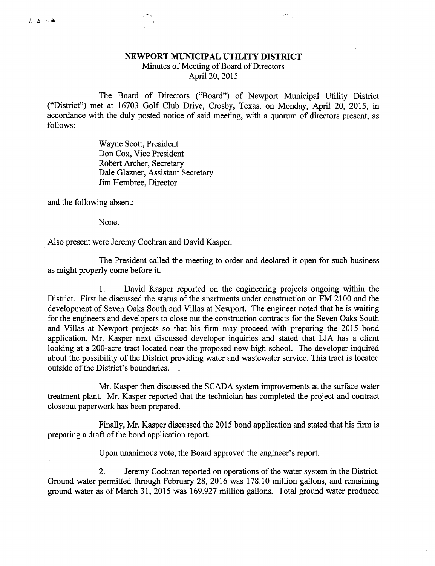## NEWPORT MUNICIPAL UTILITY DISTRICT

Minutes of Meeting of Board of Directors

April 20, 2015

The Board of Directors ("Board") of Newport Municipal Utility District ("District") met at 16703 Golf Club Drive, Crosby, Texas, on Monday, April 20, 2015, in accordance with the duly posted notice of said meeting, with a quorum of directors present, as follows:

> Wayne Scott, President Don Cox, Vice President Robert Archer, Secretary Dale Glazner, Assistant Secretary Jim Hembree, Director

and the following absent:

None.

Also present were Jeremy Cochran and David Kasper.

The President called the meeting to order and declared it open for such business as might properly come before it.

1. David Kasper reported on the engineering projects ongoing within the District. First he discussed the status of the apartments under construction on FM 2100 and the development of Seven Oaks South and Villas at Newport. The engineer noted that he is waiting for the engineers and developers to close out the construction contracts for the Seven Oaks South and Villas at Newport projects so that his firm may proceed with preparing the 2015 bond application. Mr. Kasper next discussed developer inquiries and stated that LJA has a client looking at a 200-acre tract located near the proposed new high school. The developer inquired about the possibility of the District providing water and wastewater service. This tract is located outside of the District's boundaries. .

Mr. Kasper then discussed the SCADA system improvements at the surface water treatment plant. Mr. Kasper reported that the technician has completed the project and contract closeout paperwork has been prepared.

Finally, Mr. Kasper discussed the 2015 bond application and stated that his firm is preparing a draft of the bond application report.

Upon unanimous vote, the Board approved the engineer's report.

2. Jeremy Cochran reported on operations of the water system in the District. Ground water permitted through February 28, 2016 was 178.10 million gallons, and remaining ground water as of March 31, 2015 was 169.927 million gallons. Total ground water produced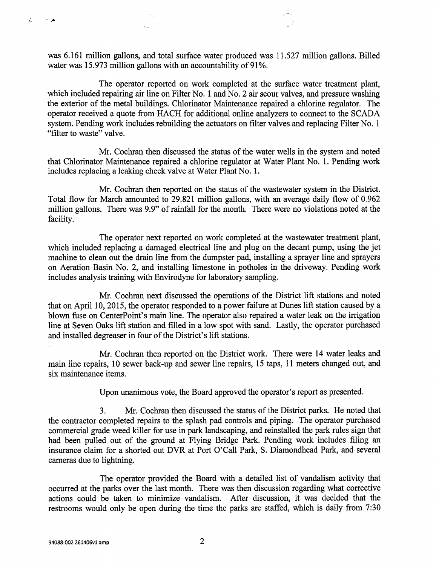was 6.161 million gallons, and total surface water produced was 11.527 million gallons. Billed water was 15.973 million gallons with an accountability of 91%.

 $\zeta_{\rm max}$  .

The operator reported on work completed at the surface water treatment plant, which included repairing air line on Filter No. 1 and No. 2 air scour valves, and pressure washing the exterior of the metal buildings. Chlorinator Maintenance repaired a chlorine regulator. The operator received a quote from HACH for additional online analyzers to connect to the SCADA system. Pending work includes rebuilding the actuators on filter valves and replacing Filter No. 1 "filter to waste" valve.

Mr. Cochran then discussed the status of the water wells in the system and noted that Chlorinator Maintenance repaired a chlorine regulator at Water Plant No. 1. Pending work includes replacing a leaking check valve at Water Plant No. 1.

Mr. Cochran then reported on the status of the wastewater system in the District. Total flow for March amounted to 29.821 million gallons, with an average daily flow of 0.962 million gallons. There was 9.9" of rainfall for the month. There were no violations noted at the facility.

The operator next reported on work completed at the wastewater treatment plant, which included replacing a damaged electrical line and plug on the decant pump, using the jet machine to clean out the drain line from the dumpster pad, installing a sprayer line and sprayers on Aeration Basin No. 2, and installing limestone in potholes in the driveway. Pending work includes analysis training with Envirodyne for laboratory sampling.

Mr. Cochran next discussed the operations of the District lift stations and noted that on April 10, 2015, the operator responded to a power failure at Dunes lift station caused by a blown fuse on CenterPoint's main line. The operator also repaired a water leak on the irrigation line at Seven Oaks lift station and filled in a low spot with sand. Lastly, the operator purchased and installed degreaser in four of the District's lift stations.

Mr. Cochran then reported on the District work. There were 14 water leaks and main line repairs, 10 sewer back-up and sewer line repairs, 15 taps, 11 meters changed out, and six maintenance items.

Upon unanimous vote, the Board approved the operator's report as presented.

3. Mr. Cochran then discussed the status of the District parks. He noted that the contractor completed repairs to the splash pad controls and piping. The operator purchased commercial grade weed killer for use in park landscaping, and reinstalled the park rules sign that had been pulled out of the ground at Flying Bridge Park. Pending work includes filing an insurance claim for a shorted out DVR at Port O'Call Park, S. Diamondhead Park, and several cameras due to lightning.

The operator provided the Board with a detailed list of vandalism activity that occurred at the parks over the last month. There was then discussion regarding what corrective actions could be taken to minimize vandalism. After discussion, it was decided that the restrooms would only be open during the time the parks are staffed, which is daily from 7:30

ć.

 $\ddot{\phantom{1}}$